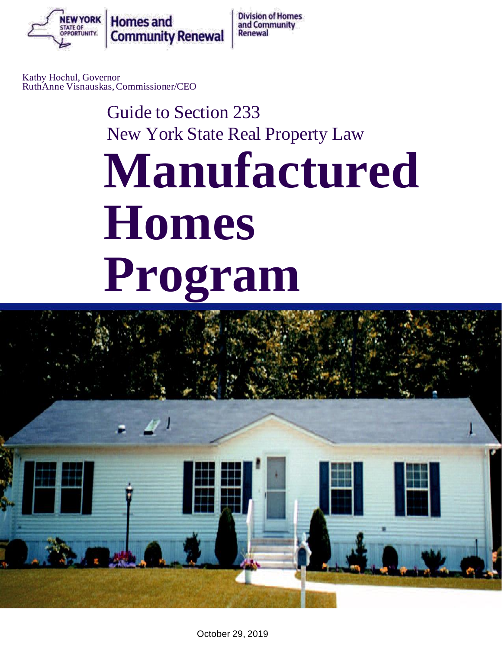

Division of Homes and Community Renewal

Kathy Hochul, Governor RuthAnne Visnauskas, Commissioner/CEO

# Guide to Section 233 New York State Real Property Law

# **Manufactured Homes Program**



October 29, 2019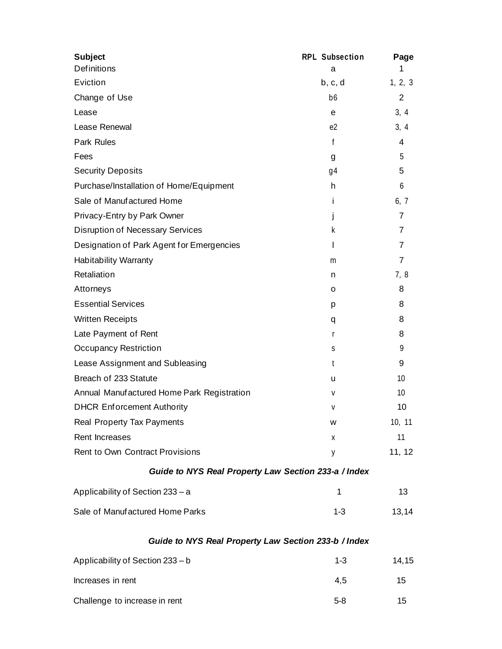| <b>Subject</b><br><b>Definitions</b>                 | <b>RPL Subsection</b><br>a | Page<br>1      |
|------------------------------------------------------|----------------------------|----------------|
| Eviction                                             | b, c, d                    | 1, 2, 3        |
| Change of Use                                        | b <sub>6</sub>             | 2              |
| Lease                                                | e                          | 3, 4           |
| Lease Renewal                                        | e2                         | 3, 4           |
| <b>Park Rules</b>                                    | f                          | 4              |
| Fees                                                 | g                          | 5              |
| <b>Security Deposits</b>                             | g4                         | 5              |
| Purchase/Installation of Home/Equipment              | h.                         | 6              |
| Sale of Manufactured Home                            | i.                         | 6, 7           |
| Privacy-Entry by Park Owner                          | J                          | $\overline{7}$ |
| <b>Disruption of Necessary Services</b>              | k                          | $\overline{7}$ |
| Designation of Park Agent for Emergencies            | $\mathsf{I}$               | $\overline{7}$ |
| <b>Habitability Warranty</b>                         | m                          | $\overline{7}$ |
| Retaliation                                          | n                          | 7, 8           |
| Attorneys                                            | 0                          | 8              |
| <b>Essential Services</b>                            | p                          | 8              |
| <b>Written Receipts</b>                              | q                          | 8              |
| Late Payment of Rent                                 | r                          | 8              |
| <b>Occupancy Restriction</b>                         | s                          | 9              |
| Lease Assignment and Subleasing                      | t                          | 9              |
| Breach of 233 Statute                                | u                          | 10             |
| Annual Manufactured Home Park Registration           | V                          | 10             |
| <b>DHCR Enforcement Authority</b>                    | ٧                          | 10             |
| Real Property Tax Payments                           | w                          | 10, 11         |
| Rent Increases                                       | X                          | 11             |
| Rent to Own Contract Provisions                      | у                          | 11, 12         |
| Guide to NYS Real Property Law Section 233-a / Index |                            |                |
| Applicability of Section 233 - a                     | 1                          | 13             |
| Sale of Manufactured Home Parks                      | $1 - 3$                    | 13,14          |
| Guide to NYS Real Property Law Section 233-b / Index |                            |                |
| Applicability of Section 233 - b                     | $1 - 3$                    | 14, 15         |
| Increases in rent                                    | 4,5                        | 15             |

Challenge to increase in rent 5-8 15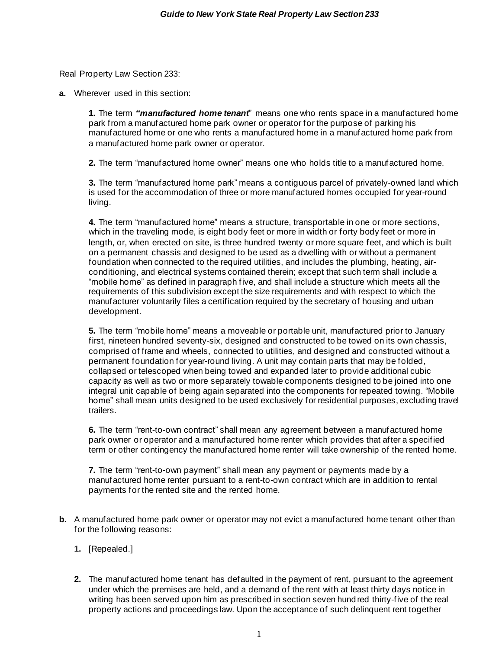Real Property Law Section 233:

**a.** Wherever used in this section:

**1.** The term *"manufactured home tenant*" means one who rents space in a manufactured home park from a manufactured home park owner or operator for the purpose of parking his manufactured home or one who rents a manufactured home in a manufactured home park from a manufactured home park owner or operator.

**2.** The term "manufactured home owner" means one who holds title to a manufactured home.

**3.** The term "manufactured home park" means a contiguous parcel of privately-owned land which is used for the accommodation of three or more manufactured homes occupied for year-round living.

**4.** The term "manufactured home" means a structure, transportable in one or more sections, which in the traveling mode, is eight body feet or more in width or forty body feet or more in length, or, when erected on site, is three hundred twenty or more square feet, and which is built on a permanent chassis and designed to be used as a dwelling with or without a permanent foundation when connected to the required utilities, and includes the plumbing, heating, airconditioning, and electrical systems contained therein; except that such term shall include a "mobile home" as defined in paragraph five, and shall include a structure which meets all the requirements of this subdivision except the size requirements and with respect to which the manufacturer voluntarily files a certification required by the secretary of housing and urban development.

**5.** The term "mobile home" means a moveable or portable unit, manufactured prior to January first, nineteen hundred seventy-six, designed and constructed to be towed on its own chassis, comprised of frame and wheels, connected to utilities, and designed and constructed without a permanent foundation for year-round living. A unit may contain parts that may be folded, collapsed or telescoped when being towed and expanded later to provide additional cubic capacity as well as two or more separately towable components designed to be joined into one integral unit capable of being again separated into the components for repeated towing. "Mobile home" shall mean units designed to be used exclusively for residential purposes, excluding travel trailers.

**6.** The term "rent-to-own contract" shall mean any agreement between a manufactured home park owner or operator and a manufactured home renter which provides that after a specified term or other contingency the manufactured home renter will take ownership of the rented home.

**7.** The term "rent-to-own payment" shall mean any payment or payments made by a manufactured home renter pursuant to a rent-to-own contract which are in addition to rental payments for the rented site and the rented home.

- **b.** A manufactured home park owner or operator may not evict a manufactured home tenant other than for the following reasons:
	- **1.** [Repealed.]
	- **2.** The manufactured home tenant has defaulted in the payment of rent, pursuant to the agreement under which the premises are held, and a demand of the rent with at least thirty days notice in writing has been served upon him as prescribed in section seven hund red thirty-five of the real property actions and proceedings law. Upon the acceptance of such delinquent rent together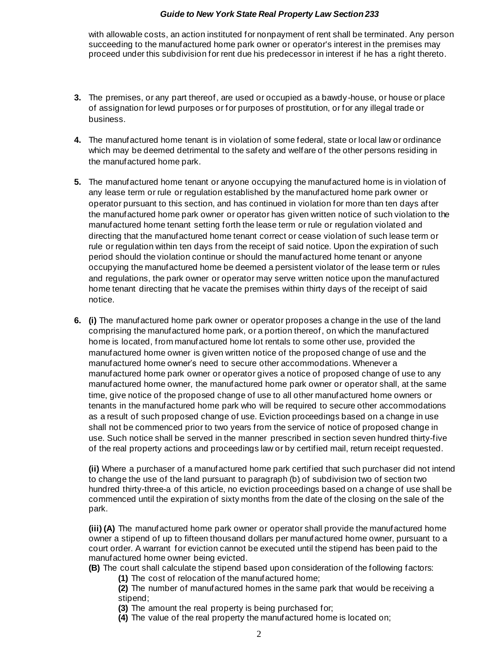with allowable costs, an action instituted for nonpayment of rent shall be terminated. Any person succeeding to the manufactured home park owner or operator's interest in the premises may proceed under this subdivision for rent due his predecessor in interest if he has a right thereto.

- **3.** The premises, or any part thereof, are used or occupied as a bawdy-house, or house or place of assignation for lewd purposes or for purposes of prostitution, or for any illegal trade or business.
- **4.** The manufactured home tenant is in violation of some federal, state or local law or ordinance which may be deemed detrimental to the safety and welfare of the other persons residing in the manufactured home park.
- **5.** The manufactured home tenant or anyone occupying the manufactured home is in violation of any lease term or rule or regulation established by the manufactured home park owner or operator pursuant to this section, and has continued in violation for more than ten days after the manufactured home park owner or operator has given written notice of such violation to the manufactured home tenant setting forth the lease term or rule or regulation violated and directing that the manufactured home tenant correct or cease violation of such lease term or rule or regulation within ten days from the receipt of said notice. Upon the expiration of such period should the violation continue or should the manufactured home tenant or anyone occupying the manufactured home be deemed a persistent violator of the lease term or rules and regulations, the park owner or operator may serve written notice upon the manufactured home tenant directing that he vacate the premises within thirty days of the receipt of said notice.
- **6. (i)** The manufactured home park owner or operator proposes a change in the use of the land comprising the manufactured home park, or a portion thereof, on which the manufactured home is located, from manufactured home lot rentals to some other use, provided the manufactured home owner is given written notice of the proposed change of use and the manufactured home owner's need to secure other accommodations. Whenever a manufactured home park owner or operator gives a notice of proposed change of use to any manufactured home owner, the manufactured home park owner or operator shall, at the same time, give notice of the proposed change of use to all other manufactured home owners or tenants in the manufactured home park who will be required to secure other accommodations as a result of such proposed change of use. Eviction proceedings based on a change in use shall not be commenced prior to two years from the service of notice of proposed change in use. Such notice shall be served in the manner prescribed in section seven hundred thirty-five of the real property actions and proceedings law or by certified mail, return receipt requested.

**(ii)** Where a purchaser of a manufactured home park certified that such purchaser did not intend to change the use of the land pursuant to paragraph (b) of subdivision two of section two hundred thirty-three-a of this article, no eviction proceedings based on a change of use shall be commenced until the expiration of sixty months from the date of the closing on the sale of the park.

**(iii) (A)** The manufactured home park owner or operator shall provide the manufactured home owner a stipend of up to fifteen thousand dollars per manufactured home owner, pursuant to a court order. A warrant for eviction cannot be executed until the stipend has been paid to the manufactured home owner being evicted.

**(B)** The court shall calculate the stipend based upon consideration of the following factors: **(1)** The cost of relocation of the manufactured home;

**(2)** The number of manufactured homes in the same park that would be receiving a stipend;

**(3)** The amount the real property is being purchased for;

**(4)** The value of the real property the manufactured home is located on;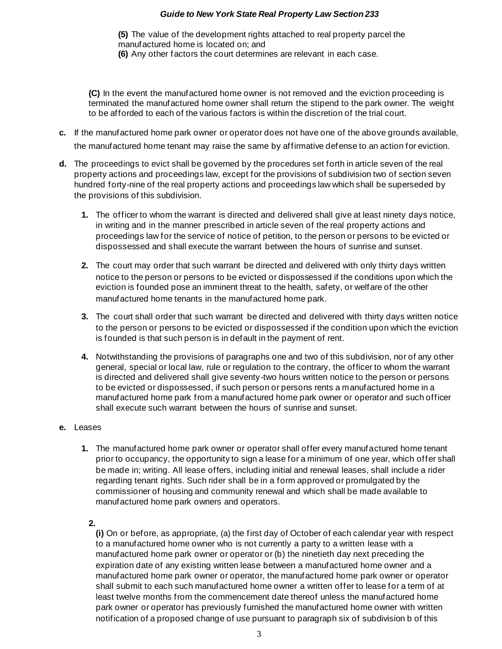**(5)** The value of the development rights attached to real property parcel the manufactured home is located on; and **(6)** Any other factors the court determines are relevant in each case.

**(C)** In the event the manufactured home owner is not removed and the eviction proceeding is terminated the manufactured home owner shall return the stipend to the park owner. The weight to be afforded to each of the various factors is within the discretion of the trial court.

- **c.** If the manufactured home park owner or operator does not have one of the above grounds available, the manufactured home tenant may raise the same by affirmative defense to an action for eviction.
- **d.** The proceedings to evict shall be governed by the procedures set forth in article seven of the real property actions and proceedings law, except for the provisions of subdivision two of section seven hundred forty-nine of the real property actions and proceedings law which shall be superseded by the provisions of this subdivision.
	- **1.** The officer to whom the warrant is directed and delivered shall give at least ninety days notice, in writing and in the manner prescribed in article seven of the real property actions and proceedings law for the service of notice of petition, to the person or persons to be evicted or dispossessed and shall execute the warrant between the hours of sunrise and sunset.
	- **2.** The court may order that such warrant be directed and delivered with only thirty days written notice to the person or persons to be evicted or dispossessed if the conditions upon which the eviction is founded pose an imminent threat to the health, safety, or welfare of the other manufactured home tenants in the manufactured home park.
	- **3.** The court shall order that such warrant be directed and delivered with thirty days written notice to the person or persons to be evicted or dispossessed if the condition upon which the eviction is founded is that such person is in default in the payment of rent.
	- **4.** Notwithstanding the provisions of paragraphs one and two of this subdivision, nor of any other general, special or local law, rule or regulation to the contrary, the officer to whom the warrant is directed and delivered shall give seventy-two hours written notice to the person or persons to be evicted or dispossessed, if such person or persons rents a manufactured home in a manufactured home park from a manufactured home park owner or operator and such officer shall execute such warrant between the hours of sunrise and sunset.

# **e.** Leases

**1.** The manufactured home park owner or operator shall offer every manufactured home tenant prior to occupancy, the opportunity to sign a lease for a minimum of one year, which offer shall be made in; writing. All lease offers, including initial and renewal leases, shall include a rider regarding tenant rights. Such rider shall be in a form approved or promulgated by the commissioner of housing and community renewal and which shall be made available to manufactured home park owners and operators.

# **2.**

**(i)** On or before, as appropriate, (a) the first day of October of each calendar year with respect to a manufactured home owner who is not currently a party to a written lease with a manufactured home park owner or operator or (b) the ninetieth day next preceding the expiration date of any existing written lease between a manufactured home owner and a manufactured home park owner or operator, the manufactured home park owner or operator shall submit to each such manufactured home owner a written offer to lease for a term of at least twelve months from the commencement date thereof unless the manufactured home park owner or operator has previously furnished the manufactured home owner with written notification of a proposed change of use pursuant to paragraph six of subdivision b of this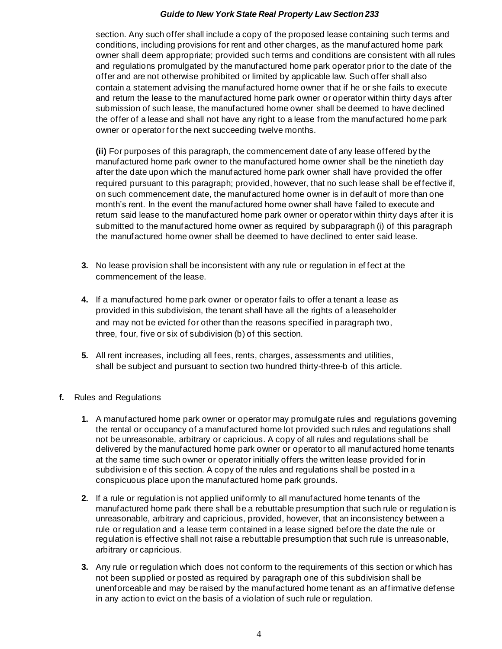section. Any such offer shall include a copy of the proposed lease containing such terms and conditions, including provisions for rent and other charges, as the manufactured home park owner shall deem appropriate; provided such terms and conditions are consistent with all rules and regulations promulgated by the manufactured home park operator prior to the date of the offer and are not otherwise prohibited or limited by applicable law. Such offer shall also contain a statement advising the manufactured home owner that if he or she fails to execute and return the lease to the manufactured home park owner or operator within thirty days after submission of such lease, the manufactured home owner shall be deemed to have declined the offer of a lease and shall not have any right to a lease from the manufactured home park owner or operator for the next succeeding twelve months.

**(ii)** For purposes of this paragraph, the commencement date of any lease offered by the manufactured home park owner to the manufactured home owner shall be the ninetieth day after the date upon which the manufactured home park owner shall have provided the offer required pursuant to this paragraph; provided, however, that no such lease shall be effective if, on such commencement date, the manufactured home owner is in default of more than one month's rent. In the event the manufactured home owner shall have failed to execute and return said lease to the manufactured home park owner or operator within thirty days after it is submitted to the manufactured home owner as required by subparagraph (i) of this paragraph the manufactured home owner shall be deemed to have declined to enter said lease.

- **3.** No lease provision shall be inconsistent with any rule or regulation in ef fect at the commencement of the lease.
- **4.** If a manufactured home park owner or operator fails to offer a tenant a lease as provided in this subdivision, the tenant shall have all the rights of a leaseholder and may not be evicted for other than the reasons specified in paragraph two, three, four, five or six of subdivision (b) of this section.
- **5.** All rent increases, including all fees, rents, charges, assessments and utilities, shall be subject and pursuant to section two hundred thirty-three-b of this article.
- **f.** Rules and Regulations
	- **1.** A manufactured home park owner or operator may promulgate rules and regulations governing the rental or occupancy of a manufactured home lot provided such rules and regulations shall not be unreasonable, arbitrary or capricious. A copy of all rules and regulations shall be delivered by the manufactured home park owner or operator to all manufactured home tenants at the same time such owner or operator initially offers the written lease provided for in subdivision e of this section. A copy of the rules and regulations shall be posted in a conspicuous place upon the manufactured home park grounds.
	- **2.** If a rule or regulation is not applied uniformly to all manufactured home tenants of the manufactured home park there shall be a rebuttable presumption that such rule or regulation is unreasonable, arbitrary and capricious, provided, however, that an inconsistency between a rule or regulation and a lease term contained in a lease signed before the date the rule or regulation is effective shall not raise a rebuttable presumption that such rule is unreasonable, arbitrary or capricious.
	- **3.** Any rule or regulation which does not conform to the requirements of this section or which has not been supplied or posted as required by paragraph one of this subdivision shall be unenforceable and may be raised by the manufactured home tenant as an affirmative defense in any action to evict on the basis of a violation of such rule or regulation.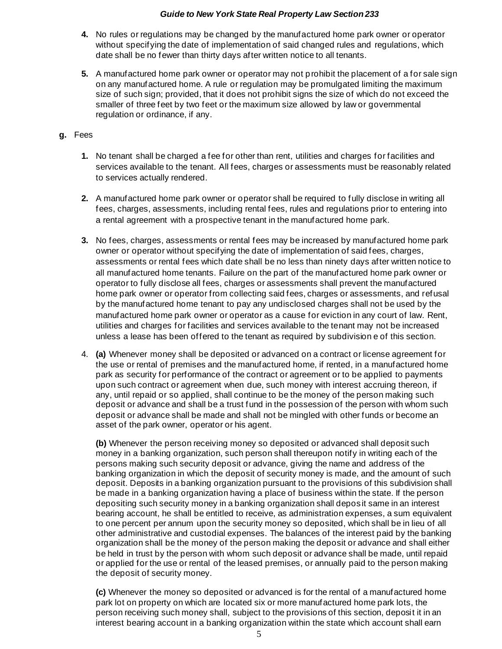- **4.** No rules or regulations may be changed by the manufactured home park owner or operator without specifying the date of implementation of said changed rules and regulations, which date shall be no fewer than thirty days after written notice to all tenants.
- **5.** A manufactured home park owner or operator may not prohibit the placement of a for sale sign on any manufactured home. A rule or regulation may be promulgated limiting the maximum size of such sign; provided, that it does not prohibit signs the size of which do not exceed the smaller of three feet by two feet or the maximum size allowed by law or governmental regulation or ordinance, if any.

# **g.** Fees

- **1.** No tenant shall be charged a fee for other than rent, utilities and charges for facilities and services available to the tenant. All fees, charges or assessments must be reasonably related to services actually rendered.
- **2.** A manufactured home park owner or operator shall be required to fully disclose in writing all fees, charges, assessments, including rental fees, rules and regulations prior to entering into a rental agreement with a prospective tenant in the manufactured home park.
- **3.** No fees, charges, assessments or rental fees may be increased by manufactured home park owner or operator without specifying the date of implementation of said fees, charges, assessments or rental fees which date shall be no less than ninety days after written notice to all manufactured home tenants. Failure on the part of the manufactured home park owner or operator to fully disclose all fees, charges or assessments shall prevent the manufactured home park owner or operator from collecting said fees, charges or assessments, and refusal by the manufactured home tenant to pay any undisclosed charges shall not be used by the manufactured home park owner or operator as a cause for eviction in any court of law. Rent, utilities and charges for facilities and services available to the tenant may not be increased unless a lease has been offered to the tenant as required by subdivision e of this section.
- 4. **(a)** Whenever money shall be deposited or advanced on a contract or license agreement for the use or rental of premises and the manufactured home, if rented, in a manufactured home park as security for performance of the contract or agreement or to be applied to payments upon such contract or agreement when due, such money with interest accruing thereon, if any, until repaid or so applied, shall continue to be the money of the person making such deposit or advance and shall be a trust fund in the possession of the person with whom such deposit or advance shall be made and shall not be mingled with other funds or become an asset of the park owner, operator or his agent.

**(b)** Whenever the person receiving money so deposited or advanced shall deposit such money in a banking organization, such person shall thereupon notify in writing each of the persons making such security deposit or advance, giving the name and address of the banking organization in which the deposit of security money is made, and the amount of such deposit. Deposits in a banking organization pursuant to the provisions of this subdivision shall be made in a banking organization having a place of business within the state. If the person depositing such security money in a banking organization shall depos it same in an interest bearing account, he shall be entitled to receive, as administration expenses, a sum equivalent to one percent per annum upon the security money so deposited, which shall be in lieu of all other administrative and custodial expenses. The balances of the interest paid by the banking organization shall be the money of the person making the deposit or advance and shall either be held in trust by the person with whom such deposit or advance shall be made, until repaid or applied for the use or rental of the leased premises, or annually paid to the person making the deposit of security money.

**(c)** Whenever the money so deposited or advanced is for the rental of a manufactured home park lot on property on which are located six or more manufactured home park lots, the person receiving such money shall, subject to the provisions of this section, deposit it in an interest bearing account in a banking organization within the state which account shall earn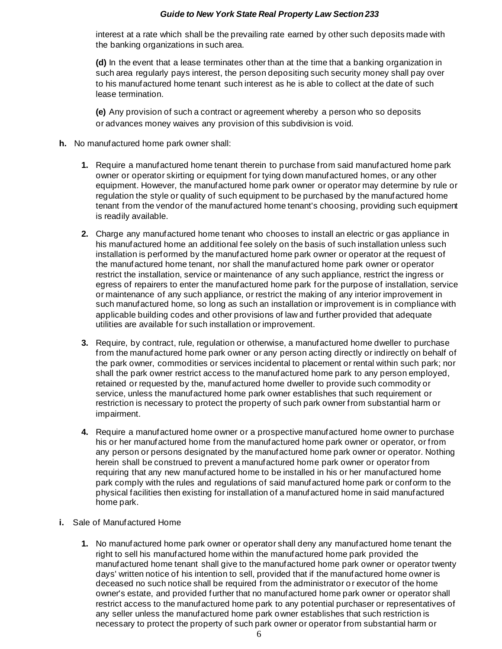interest at a rate which shall be the prevailing rate earned by other such deposits made with the banking organizations in such area.

**(d)** In the event that a lease terminates other than at the time that a banking organization in such area regularly pays interest, the person depositing such security money shall pay over to his manufactured home tenant such interest as he is able to collect at the date of such lease termination.

**(e)** Any provision of such a contract or agreement whereby a person who so deposits or advances money waives any provision of this subdivision is void.

- **h.** No manufactured home park owner shall:
	- **1.** Require a manufactured home tenant therein to purchase from said manufactured home park owner or operator skirting or equipment for tying down manufactured homes, or any other equipment. However, the manufactured home park owner or operator may determine by rule or regulation the style or quality of such equipment to be purchased by the manufactured home tenant from the vendor of the manufactured home tenant's choosing, providing such equipment is readily available.
	- **2.** Charge any manufactured home tenant who chooses to install an electric or gas appliance in his manufactured home an additional fee solely on the basis of such installation unless such installation is performed by the manufactured home park owner or operator at the request of the manufactured home tenant, nor shall the manufactured home park owner or operator restrict the installation, service or maintenance of any such appliance, restrict the ingress or egress of repairers to enter the manufactured home park for the purpose of installation, service or maintenance of any such appliance, or restrict the making of any interior improvement in such manufactured home, so long as such an installation or improvement is in compliance with applicable building codes and other provisions of law and further provided that adequate utilities are available for such installation or improvement.
	- **3.** Require, by contract, rule, regulation or otherwise, a manufactured home dweller to purchase from the manufactured home park owner or any person acting directly or indirectly on behalf of the park owner, commodities or services incidental to placement or rental within such park; nor shall the park owner restrict access to the manufactured home park to any person employed, retained or requested by the, manufactured home dweller to provide such commodity or service, unless the manufactured home park owner establishes that such requirement or restriction is necessary to protect the property of such park owner from substantial harm or impairment.
	- **4.** Require a manufactured home owner or a prospective manufactured home owner to purchase his or her manufactured home from the manufactured home park owner or operator, or from any person or persons designated by the manufactured home park owner or operator. Nothing herein shall be construed to prevent a manufactured home park owner or operator from requiring that any new manufactured home to be installed in his or her manufactured home park comply with the rules and regulations of said manufactured home park or conform to the physical facilities then existing for installation of a manufactured home in said manufactured home park.
- **i.** Sale of Manufactured Home
	- **1.** No manufactured home park owner or operator shall deny any manufactured home tenant the right to sell his manufactured home within the manufactured home park provided the manufactured home tenant shall give to the manufactured home park owner or operator twenty days' written notice of his intention to sell, provided that if the manufactured home owner is deceased no such notice shall be required from the administrator or executor of the home owner's estate, and provided further that no manufactured home park owner or operator shall restrict access to the manufactured home park to any potential purchaser or representatives of any seller unless the manufactured home park owner establishes that such restriction is necessary to protect the property of such park owner or operator from substantial harm or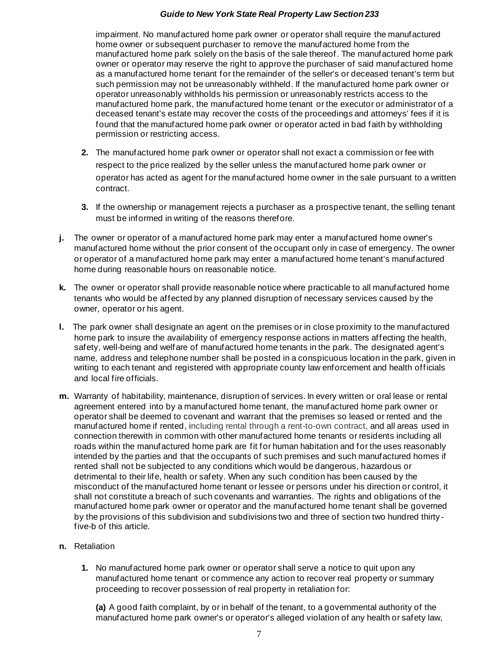impairment. No manufactured home park owner or operator shall require the manufactured home owner or subsequent purchaser to remove the manufactured home from the manufactured home park solely on the basis of the sale thereof. The manufactured home park owner or operator may reserve the right to approve the purchaser of said manufactured home as a manufactured home tenant for the remainder of the seller's or deceased tenant's term but such permission may not be unreasonably withheld. If the manufactured home park owner or operator unreasonably withholds his permission or unreasonably restricts access to the manufactured home park, the manufactured home tenant or the executor or administrator of a deceased tenant's estate may recover the costs of the proceedings and attorneys' fees if it is found that the manufactured home park owner or operator acted in bad faith by withholding permission or restricting access.

- **2.** The manufactured home park owner or operator shall not exact a commission or fee with respect to the price realized by the seller unless the manufactured home park owner or operator has acted as agent for the manufactured home owner in the sale pursuant to a written contract.
- **3.** If the ownership or management rejects a purchaser as a prospective tenant, the selling tenant must be informed in writing of the reasons therefore.
- **j.** The owner or operator of a manufactured home park may enter a manufactured home owner's manufactured home without the prior consent of the occupant only in case of emergency. The owner or operator of a manufactured home park may enter a manufactured home tenant's manufactured home during reasonable hours on reasonable notice.
- **k.** The owner or operator shall provide reasonable notice where practicable to all manufactured home tenants who would be affected by any planned disruption of necessary services caused by the owner, operator or his agent.
- **l.** The park owner shall designate an agent on the premises or in close proximity to the manufactured home park to insure the availability of emergency response actions in matters affecting the health, safety, well-being and welfare of manufactured home tenants in the park. The designated agent's name, address and telephone number shall be posted in a conspicuous location in the park, given in writing to each tenant and registered with appropriate county law enforcement and health officials and local fire officials.
- **m.** Warranty of habitability, maintenance, disruption of services. In every written or oral lease or rental agreement entered into by a manufactured home tenant, the manufactured home park owner or operator shall be deemed to covenant and warrant that the premises so leased or rented and the manufactured home if rented, including rental through a rent-to-own contract, and all areas used in connection therewith in common with other manufactured home tenants or residents including all roads within the manufactured home park are fit for human habitation and for the uses reasonably intended by the parties and that the occupants of such premises and such manufactured homes if rented shall not be subjected to any conditions which would be dangerous, hazardous or detrimental to their life, health or safety. When any such condition has been caused by the misconduct of the manufactured home tenant or lessee or persons under his direction or control, it shall not constitute a breach of such covenants and warranties. The rights and obligations of the manufactured home park owner or operator and the manufactured home tenant shall be governed by the provisions of this subdivision and subdivisions two and three of section two hundred thirty five-b of this article.

# **n.** Retaliation

**1.** No manufactured home park owner or operator shall serve a notice to quit upon any manufactured home tenant or commence any action to recover real property or summary proceeding to recover possession of real property in retaliation for:

**(a)** A good faith complaint, by or in behalf of the tenant, to a governmental authority of the manufactured home park owner's or operator's alleged violation of any health or safety law,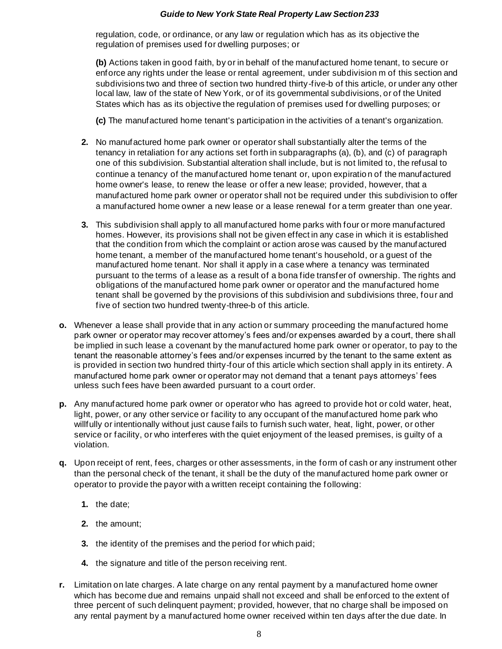regulation, code, or ordinance, or any law or regulation which has as its objective the regulation of premises used for dwelling purposes; or

**(b)** Actions taken in good faith, by or in behalf of the manufactured home tenant, to secure or enforce any rights under the lease or rental agreement, under subdivision m of this section and subdivisions two and three of section two hundred thirty-five-b of this article, or under any other local law, law of the state of New York, or of its governmental subdivisions, or of the United States which has as its objective the regulation of premises used for dwelling purposes; or

**(c)** The manufactured home tenant's participation in the activities of a tenant's organization.

- **2.** No manufactured home park owner or operator shall substantially alter the terms of the tenancy in retaliation for any actions set forth in subparagraphs (a), (b), and (c) of paragraph one of this subdivision. Substantial alteration shall include, but is not limited to, the refusal to continue a tenancy of the manufactured home tenant or, upon expiratio n of the manufactured home owner's lease, to renew the lease or offer a new lease; provided, however, that a manufactured home park owner or operator shall not be required under this subdivision to offer a manufactured home owner a new lease or a lease renewal for a term greater than one year.
- **3.** This subdivision shall apply to all manufactured home parks with four or more manufactured homes. However, its provisions shall not be given effect in any case in which it is established that the condition from which the complaint or action arose was caused by the manufactured home tenant, a member of the manufactured home tenant's household, or a guest of the manufactured home tenant. Nor shall it apply in a case where a tenancy was terminated pursuant to the terms of a lease as a result of a bona fide transfer of ownership. The rights and obligations of the manufactured home park owner or operator and the manufactured home tenant shall be governed by the provisions of this subdivision and subdivisions three, four and five of section two hundred twenty-three-b of this article.
- **o.** Whenever a lease shall provide that in any action or summary proceeding the manufactured home park owner or operator may recover attorney's fees and/or expenses awarded by a court, there shall be implied in such lease a covenant by the manufactured home park owner or operator, to pay to the tenant the reasonable attorney's fees and/or expenses incurred by the tenant to the same extent as is provided in section two hundred thirty-four of this article which section shall apply in its entirety. A manufactured home park owner or operator may not demand that a tenant pays attorneys' fees unless such fees have been awarded pursuant to a court order.
- **p.** Any manufactured home park owner or operator who has agreed to provide hot or cold water, heat, light, power, or any other service or facility to any occupant of the manufactured home park who willfully or intentionally without just cause fails to furnish such water, heat, light, power, or other service or facility, or who interferes with the quiet enjoyment of the leased premises, is quilty of a violation.
- **q.** Upon receipt of rent, fees, charges or other assessments, in the form of cash or any instrument other than the personal check of the tenant, it shall be the duty of the manufactured home park owner or operator to provide the payor with a written receipt containing the following:
	- **1.** the date;
	- **2.** the amount;
	- **3.** the identity of the premises and the period for which paid;
	- **4.** the signature and title of the person receiving rent.
- **r.** Limitation on late charges. A late charge on any rental payment by a manufactured home owner which has become due and remains unpaid shall not exceed and shall be enforced to the extent of three percent of such delinquent payment; provided, however, that no charge shall be imposed on any rental payment by a manufactured home owner received within ten days after the due date. In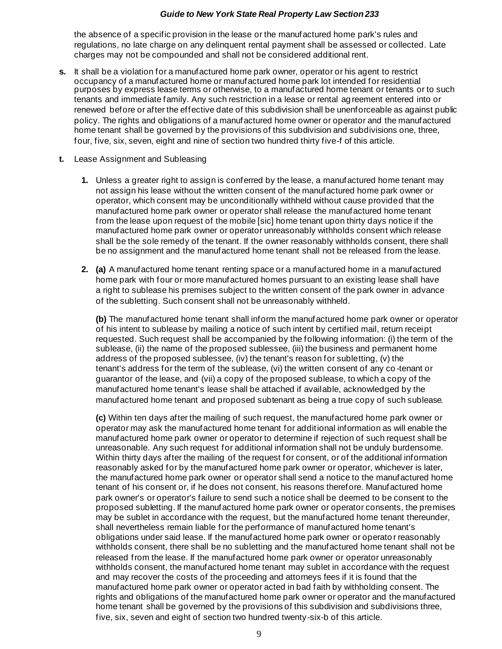the absence of a specific provision in the lease or the manufactured home park's rules and regulations, no late charge on any delinquent rental payment shall be assessed or collected. Late charges may not be compounded and shall not be considered additional rent.

- **s.** It shall be a violation for a manufactured home park owner, operator or his agent to restrict occupancy of a manufactured home or manufactured home park lot intended for residential purposes by express lease terms or otherwise, to a manufactured home tenant or tenants or to such tenants and immediate family. Any such restriction in a lease or rental ag reement entered into or renewed before or after the effective date of this subdivision shall be unenforceable as against public policy. The rights and obligations of a manufactured home owner or operator and the manufactured home tenant shall be governed by the provisions of this subdivision and subdivisions one, three, four, five, six, seven, eight and nine of section two hundred thirty five-f of this article.
- **t.** Lease Assignment and Subleasing
	- **1.** Unless a greater right to assign is conferred by the lease, a manufactured home tenant may not assign his lease without the written consent of the manufactured home park owner or operator, which consent may be unconditionally withheld without cause provided that the manufactured home park owner or operator shall release the manufactured home tenant from the lease upon request of the mobile [sic] home tenant upon thirty days notice if the manufactured home park owner or operator unreasonably withholds consent which release shall be the sole remedy of the tenant. If the owner reasonably withholds consent, there shall be no assignment and the manufactured home tenant shall not be released from the lease.
	- **2. (a)** A manufactured home tenant renting space or a manufactured home in a manufactured home park with four or more manufactured homes pursuant to an existing lease shall have a right to sublease his premises subject to the written consent of the park owner in advance of the subletting. Such consent shall not be unreasonably withheld.

**(b)** The manufactured home tenant shall inform the manufactured home park owner or operator of his intent to sublease by mailing a notice of such intent by certified mail, return receipt requested. Such request shall be accompanied by the following information: (i) the term of the sublease, (ii) the name of the proposed sublessee, (iii) the business and permanent home address of the proposed sublessee, (iv) the tenant's reason for subletting, (v) the tenant's address for the term of the sublease, (vi) the written consent of any co -tenant or guarantor of the lease, and (vii) a copy of the proposed sublease, to which a copy of the manufactured home tenant's lease shall be attached if available, acknowledged by the manufactured home tenant and proposed subtenant as being a true copy of such sublease.

**(c)** Within ten days after the mailing of such request, the manufactured home park owner or operator may ask the manufactured home tenant for additional information as will enable the manufactured home park owner or operator to determine if rejection of such request shall be unreasonable. Any such request for additional information shall not be unduly burdensome. Within thirty days after the mailing of the request for consent, or of the additional information reasonably asked for by the manufactured home park owner or operator, whichever is later, the manufactured home park owner or operator shall send a notice to the manufactured home tenant of his consent or, if he does not consent, his reasons therefore. Manufactured home park owner's or operator's failure to send such a notice shall be deemed to be consent to the proposed subletting. If the manufactured home park owner or operator consents, the premises may be sublet in accordance with the request, but the manufactured home tenant thereunder, shall nevertheless remain liable for the performance of manufactured home tenant's obligations under said lease. If the manufactured home park owner or operato r reasonably withholds consent, there shall be no subletting and the manufactured home tenant shall not be released from the lease. If the manufactured home park owner or operator unreasonably withholds consent, the manufactured home tenant may sublet in accordance with the request and may recover the costs of the proceeding and attorneys fees if it is found that the manufactured home park owner or operator acted in bad faith by withholding consent. The rights and obligations of the manufactured home park owner or operator and the manufactured home tenant shall be governed by the provisions of this subdivision and subdivisions three, five, six, seven and eight of section two hundred twenty-six-b of this article.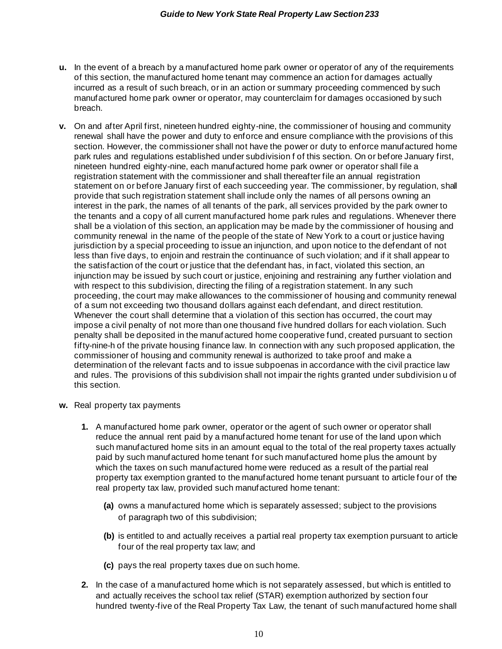- **u.** In the event of a breach by a manufactured home park owner or operator of any of the requirements of this section, the manufactured home tenant may commence an action for damages actually incurred as a result of such breach, or in an action or summary proceeding commenced by such manufactured home park owner or operator, may counterclaim for damages occasioned by such breach.
- **v.** On and after April first, nineteen hundred eighty-nine, the commissioner of housing and community renewal shall have the power and duty to enforce and ensure compliance with the provisions of this section. However, the commissioner shall not have the power or duty to enforce manufactured home park rules and regulations established under subdivision f of this section. On or before January first, nineteen hundred eighty-nine, each manufactured home park owner or operator shall file a registration statement with the commissioner and shall thereafter file an annual registration statement on or before January first of each succeeding year. The commissioner, by regulation, shall provide that such registration statement shall include only the names of all persons owning an interest in the park, the names of all tenants of the park, all services provided by the park owner to the tenants and a copy of all current manufactured home park rules and regulations. Whenever there shall be a violation of this section, an application may be made by the commissioner of housing and community renewal in the name of the people of the state of New York to a court or justice having jurisdiction by a special proceeding to issue an injunction, and upon notice to the defendant of not less than five days, to enjoin and restrain the continuance of such violation; and if it shall appear to the satisfaction of the court or justice that the defendant has, in fact, violated this section, an injunction may be issued by such court or justice, enjoining and restraining any further violation and with respect to this subdivision, directing the filing of a registration statement. In any such proceeding, the court may make allowances to the commissioner of housing and community renewal of a sum not exceeding two thousand dollars against each defendant, and direct restitution. Whenever the court shall determine that a violation of this section has occurred, the court may impose a civil penalty of not more than one thousand five hundred dollars for each violation. Such penalty shall be deposited in the manuf actured home cooperative fund, created pursuant to section fifty-nine-h of the private housing finance law. In connection with any such proposed application, the commissioner of housing and community renewal is authorized to take proof and make a determination of the relevant facts and to issue subpoenas in accordance with the civil practice law and rules. The provisions of this subdivision shall not impair the rights granted under subdivision u of this section.
- **w.** Real property tax payments
	- **1.** A manufactured home park owner, operator or the agent of such owner or operator shall reduce the annual rent paid by a manufactured home tenant for use of the land upon which such manufactured home sits in an amount equal to the total of the real property taxes actually paid by such manufactured home tenant for such manufactured home plus the amount by which the taxes on such manufactured home were reduced as a result of the partial real property tax exemption granted to the manufactured home tenant pursuant to article four of the real property tax law, provided such manufactured home tenant:
		- **(a)** owns a manufactured home which is separately assessed; subject to the provisions of paragraph two of this subdivision;
		- **(b)** is entitled to and actually receives a partial real property tax exemption pursuant to article four of the real property tax law; and
		- **(c)** pays the real property taxes due on such home.
	- **2.** In the case of a manufactured home which is not separately assessed, but which is entitled to and actually receives the school tax relief (STAR) exemption authorized by section four hundred twenty-five of the Real Property Tax Law, the tenant of such manufactured home shall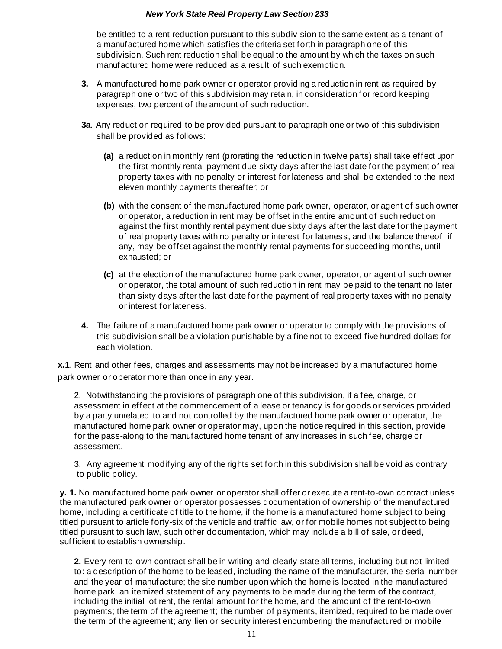be entitled to a rent reduction pursuant to this subdivision to the same extent as a tenant of a manufactured home which satisfies the criteria set forth in paragraph one of this subdivision. Such rent reduction shall be equal to the amount by which the taxes on such manufactured home were reduced as a result of such exemption.

- **3.** A manufactured home park owner or operator providing a reduction in rent as required by paragraph one or two of this subdivision may retain, in consideration for record keeping expenses, two percent of the amount of such reduction.
- **3a**. Any reduction required to be provided pursuant to paragraph one or two of this subdivision shall be provided as follows:
	- **(a)** a reduction in monthly rent (prorating the reduction in twelve parts) shall take effect upon the first monthly rental payment due sixty days after the last date for the payment of real property taxes with no penalty or interest for lateness and shall be extended to the next eleven monthly payments thereafter; or
	- **(b)** with the consent of the manufactured home park owner, operator, or agent of such owner or operator, a reduction in rent may be offset in the entire amount of such reduction against the first monthly rental payment due sixty days after the last date for the payment of real property taxes with no penalty or interest for lateness, and the balance thereof, if any, may be offset against the monthly rental payments for succeeding months, until exhausted; or
	- **(c)** at the election of the manufactured home park owner, operator, or agent of such owner or operator, the total amount of such reduction in rent may be paid to the tenant no later than sixty days after the last date for the payment of real property taxes with no penalty or interest for lateness.
- **4.** The failure of a manufactured home park owner or operator to comply with the provisions of this subdivision shall be a violation punishable by a fine not to exceed five hundred dollars for each violation.

 **x.1**. Rent and other fees, charges and assessments may not be increased by a manufactured home park owner or operator more than once in any year.

2. Notwithstanding the provisions of paragraph one of this subdivision, if a fee, charge, or assessment in effect at the commencement of a lease or tenancy is for goods or services provided by a party unrelated to and not controlled by the manufactured home park owner or operator, the manufactured home park owner or operator may, upon the notice required in this section, provide for the pass-along to the manufactured home tenant of any increases in such fee, charge or assessment.

3. Any agreement modifying any of the rights set forth in this subdivision shall be void as contrary to public policy.

**y. 1.** No manufactured home park owner or operator shall offer or execute a rent-to-own contract unless the manufactured park owner or operator possesses documentation of ownership of the manufactured home, including a certificate of title to the home, if the home is a manufactured home subject to being titled pursuant to article forty-six of the vehicle and traffic law, or for mobile homes not subject to being titled pursuant to such law, such other documentation, which may include a bill of sale, or deed, sufficient to establish ownership.

**2.** Every rent-to-own contract shall be in writing and clearly state all terms, including but not limited to: a description of the home to be leased, including the name of the manufacturer, the serial number and the year of manufacture; the site number upon which the home is located in the manufactured home park; an itemized statement of any payments to be made during the term of the contract, including the initial lot rent, the rental amount for the home, and the amount of the rent-to-own payments; the term of the agreement; the number of payments, itemized, required to be made over the term of the agreement; any lien or security interest encumbering the manufactured or mobile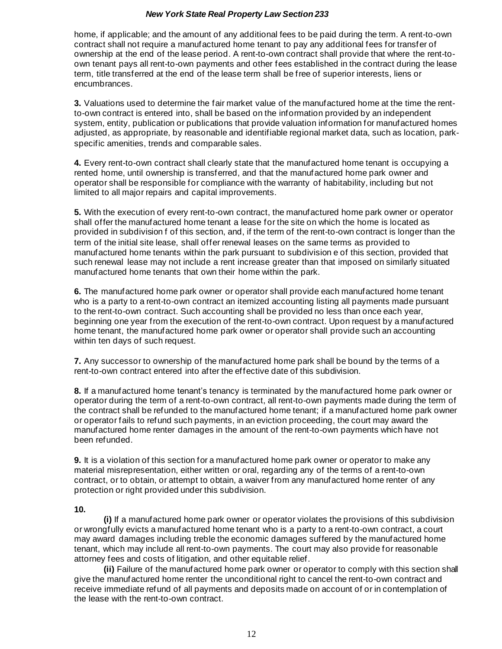home, if applicable; and the amount of any additional fees to be paid during the term. A rent-to-own contract shall not require a manufactured home tenant to pay any additional fees for transfer of ownership at the end of the lease period. A rent-to-own contract shall provide that where the rent-toown tenant pays all rent-to-own payments and other fees established in the contract during the lease term, title transferred at the end of the lease term shall be free of superior interests, liens or encumbrances.

**3.** Valuations used to determine the fair market value of the manufactured home at the time the rentto-own contract is entered into, shall be based on the information provided by an independent system, entity, publication or publications that provide valuation information for manufactured homes adjusted, as appropriate, by reasonable and identifiable regional market data, such as location, parkspecific amenities, trends and comparable sales.

**4.** Every rent-to-own contract shall clearly state that the manufactured home tenant is occupying a rented home, until ownership is transferred, and that the manufactured home park owner and operator shall be responsible for compliance with the warranty of habitability, including but not limited to all major repairs and capital improvements.

**5.** With the execution of every rent-to-own contract, the manufactured home park owner or operator shall offer the manufactured home tenant a lease for the site on which the home is located as provided in subdivision f of this section, and, if the term of the rent-to-own contract is longer than the term of the initial site lease, shall offer renewal leases on the same terms as provided to manufactured home tenants within the park pursuant to subdivision e of this section, provided that such renewal lease may not include a rent increase greater than that imposed on similarly situated manufactured home tenants that own their home within the park.

**6.** The manufactured home park owner or operator shall provide each manufactured home tenant who is a party to a rent-to-own contract an itemized accounting listing all payments made pursuant to the rent-to-own contract. Such accounting shall be provided no less than once each year, beginning one year from the execution of the rent-to-own contract. Upon request by a manufactured home tenant, the manufactured home park owner or operator shall provide such an accounting within ten days of such request.

**7.** Any successor to ownership of the manufactured home park shall be bound by the terms of a rent-to-own contract entered into after the effective date of this subdivision.

**8.** If a manufactured home tenant's tenancy is terminated by the manufactured home park owner or operator during the term of a rent-to-own contract, all rent-to-own payments made during the term of the contract shall be refunded to the manufactured home tenant; if a manufactured home park owner or operator fails to refund such payments, in an eviction proceeding, the court may award the manufactured home renter damages in the amount of the rent-to-own payments which have not been refunded.

**9.** It is a violation of this section for a manufactured home park owner or operator to make any material misrepresentation, either written or oral, regarding any of the terms of a rent-to-own contract, or to obtain, or attempt to obtain, a waiver from any manufactured home renter of any protection or right provided under this subdivision.

#### **10.**

**(i)** If a manufactured home park owner or operator violates the provisions of this subdivision or wrongfully evicts a manufactured home tenant who is a party to a rent-to-own contract, a court may award damages including treble the economic damages suffered by the manufactured home tenant, which may include all rent-to-own payments. The court may also provide for reasonable attorney fees and costs of litigation, and other equitable relief.

**(ii)** Failure of the manufactured home park owner or operator to comply with this section shall give the manufactured home renter the unconditional right to cancel the rent-to-own contract and receive immediate refund of all payments and deposits made on account of or in contemplation of the lease with the rent-to-own contract.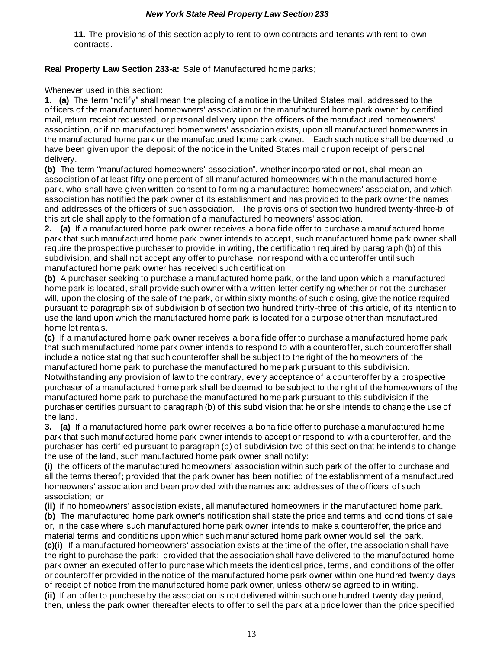**11.** The provisions of this section apply to rent-to-own contracts and tenants with rent-to-own contracts.

# **Real Property Law Section 233-a:** Sale of Manufactured home parks;

Whenever used in this section:

**1. (a)** The term "notify" shall mean the placing of a notice in the United States mail, addressed to the officers of the manufactured homeowners' association or the manufactured home park owner by certified mail, return receipt requested, or personal delivery upon the officers of the manufactured homeowners' association, or if no manufactured homeowners' association exists, upon all manufactured homeowners in the manufactured home park or the manufactured home park owner. Each such notice shall be deemed to have been given upon the deposit of the notice in the United States mail or upon receipt of personal delivery.

**(b)** The term "manufactured homeowners' association", whether incorporated or not, shall mean an association of at least fifty-one percent of all manufactured homeowners within the manufactured home park, who shall have given written consent to forming a manufactured homeowners' association, and which association has notified the park owner of its establishment and has provided to the park owner the names and addresses of the officers of such association. The provisions o[f section two hundred twenty-three-b](https://1.next.westlaw.com/Link/Document/FullText?findType=L&originatingContext=document&transitionType=DocumentItem&pubNum=1000129&refType=LQ&originatingDoc=I4a75ade0d18211e8a4ccfe56b146387b&cite=NYRLS223-B) of this article shall apply to the formation of a manufactured homeowners' association.

**2. (a)** If a manufactured home park owner receives a bona fide offer to purchase a manufactured home park that such manufactured home park owner intends to accept, such manufactured home park owner shall require the prospective purchaser to provide, in writing, the certification required by paragraph (b) of this subdivision, and shall not accept any offer to purchase, nor respond with a counteroffer until such manufactured home park owner has received such certification.

**(b)** A purchaser seeking to purchase a manufactured home park, or the land upon which a manufactured home park is located, shall provide such owner with a written letter certifying whether or not the purchaser will, upon the closing of the sale of the park, or within sixty months of such closing, give the notice required pursuant t[o paragraph six of subdivision b of section two hundred thirty-three](https://1.next.westlaw.com/Link/Document/FullText?findType=L&originatingContext=document&transitionType=DocumentItem&pubNum=1000129&refType=SP&originatingDoc=I4a75d4f0d18211e8a4ccfe56b146387b&cite=NYRLS233) of this article, of its intention to use the land upon which the manufactured home park is located for a purpose other than manufactured home lot rentals.

**(c)** If a manufactured home park owner receives a bona fide offer to purchase a manufactured home park that such manufactured home park owner intends to respond to with a counteroffer, such counteroffer shall include a notice stating that such counteroffer shall be subject to the right of the homeowners of the manufactured home park to purchase the manufactured home park pursuant to this subdivision. Notwithstanding any provision of law to the contrary, every acceptance of a counteroffer by a prospective purchaser of a manufactured home park shall be deemed to be subject to the right of the homeowners of the manufactured home park to purchase the manufactured home park pursuant to this subdivision if the purchaser certifies pursuant to paragraph (b) of this subdivision that he or she intends to change the use of the land.

**3. (a)** If a manufactured home park owner receives a bona fide offer to purchase a manufactured home park that such manufactured home park owner intends to accept or respond to with a counteroffer, and the purchaser has certified pursuant to paragraph (b) of subdivision two of this section that he intends to change the use of the land, such manufactured home park owner shall notify:

**(i)** the officers of the manufactured homeowners' association within such park of the offer to purchase and all the terms thereof; provided that the park owner has been notified of the establishment of a manufactured homeowners' association and been provided with the names and addresses of the officers of such association;  or

**(ii)** if no homeowners' association exists, all manufactured homeowners in the manufactured home park.

**(b)** The manufactured home park owner's notification shall state the price and terms and conditions of sale or, in the case where such manufactured home park owner intends to make a counteroffer, the price and material terms and conditions upon which such manufactured home park owner would sell the park.

**(c)(i)** If a manufactured homeowners' association exists at the time of the offer, the association shall have the right to purchase the park;  provided that the association shall have delivered to the manufactured home park owner an executed offer to purchase which meets the identical price, terms, and conditions of the offer or counteroffer provided in the notice of the manufactured home park owner within one hundred twenty days of receipt of notice from the manufactured home park owner, unless otherwise agreed to in writing.

**(ii)** If an offer to purchase by the association is not delivered within such one hundred twenty day period, then, unless the park owner thereafter elects to offer to sell the park at a price lower than the price specified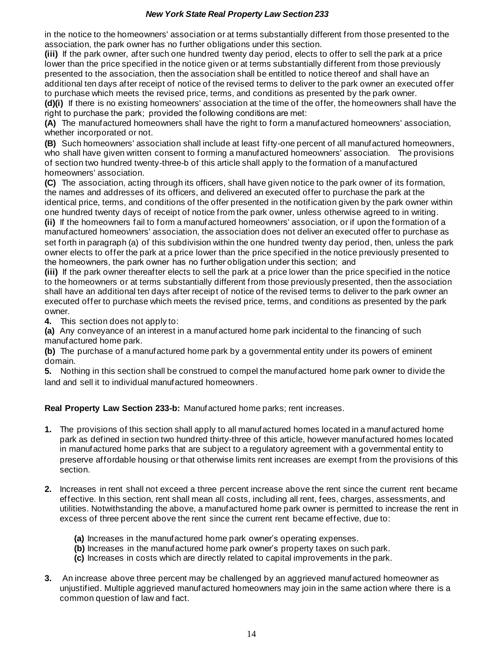in the notice to the homeowners' association or at terms substantially different from those presented to the association, the park owner has no further obligations under this section.

**(iii)** If the park owner, after such one hundred twenty day period, elects to offer to sell the park at a price lower than the price specified in the notice given or at terms substantially different from those previously presented to the association, then the association shall be entitled to notice thereof and shall have an additional ten days after receipt of notice of the revised terms to deliver to the park owner an executed offer to purchase which meets the revised price, terms, and conditions as presented by the park owner.

**(d)(i)** If there is no existing homeowners' association at the time of the offer, the homeowners shall have the right to purchase the park;  provided the following conditions are met:

**(A)** The manufactured homeowners shall have the right to form a manufactured homeowners' association, whether incorporated or not.

**(B)** Such homeowners' association shall include at least fifty-one percent of all manufactured homeowners, who shall have given written consent to forming a manufactured homeowners' association. The provisions o[f section two hundred twenty-three-b](https://1.next.westlaw.com/Link/Document/FullText?findType=L&originatingContext=document&transitionType=DocumentItem&pubNum=1000129&refType=LQ&originatingDoc=I4a767130d18211e8a4ccfe56b146387b&cite=NYRLS223-B) of this article shall apply to the formation of a manufactured homeowners' association.

**(C)** The association, acting through its officers, shall have given notice to the park owner of its formation, the names and addresses of its officers, and delivered an executed offer to purchase the park at the identical price, terms, and conditions of the offer presented in the notification given by the park owner within one hundred twenty days of receipt of notice from the park owner, unless otherwise agreed to in writing. **(ii)** If the homeowners fail to form a manufactured homeowners' association, or if upon the formation of a manufactured homeowners' association, the association does not deliver an executed offer to purchase as set forth in paragraph (a) of this subdivision within the one hundred twenty day period, then, unless the park owner elects to offer the park at a price lower than the price specified in the notice previously presented to

the homeowners, the park owner has no further obligation under this section;  and

**(iii)** If the park owner thereafter elects to sell the park at a price lower than the price specified in the notice to the homeowners or at terms substantially different from those previously presented, then the association shall have an additional ten days after receipt of notice of the revised terms to deliver to the park owner an executed offer to purchase which meets the revised price, terms, and conditions as presented by the park owner.

**4.** This section does not apply to:

**(a)** Any conveyance of an interest in a manuf actured home park incidental to the financing of such manufactured home park.

**(b)** The purchase of a manufactured home park by a governmental entity under its powers of eminent domain.

**5.** Nothing in this section shall be construed to compel the manufactured home park owner to divide the land and sell it to individual manufactured homeowners.

**Real Property Law Section 233-b:** Manufactured home parks; rent increases.

- **1.** The provisions of this section shall apply to all manufactured homes located in a manufactured home park as defined in section two hundred thirty-three of this article, however manufactured homes located in manufactured home parks that are subject to a regulatory agreement with a governmental entity to preserve affordable housing or that otherwise limits rent increases are exempt from the provisions of this section.
- **2.** Increases in rent shall not exceed a three percent increase above the rent since the current rent became effective. In this section, rent shall mean all costs, including all rent, fees, charges, assessments, and utilities. Notwithstanding the above, a manufactured home park owner is permitted to increase the rent in excess of three percent above the rent since the current rent became effective, due to:
	- **(a)** Increases in the manufactured home park owner's operating expenses.
	- **(b)** Increases in the manufactured home park owner's property taxes on such park.
	- **(c)** Increases in costs which are directly related to capital improvements in the park.
- **3.** An increase above three percent may be challenged by an aggrieved manufactured homeowner as unjustified. Multiple aggrieved manufactured homeowners may join in the same action where there is a common question of law and fact.